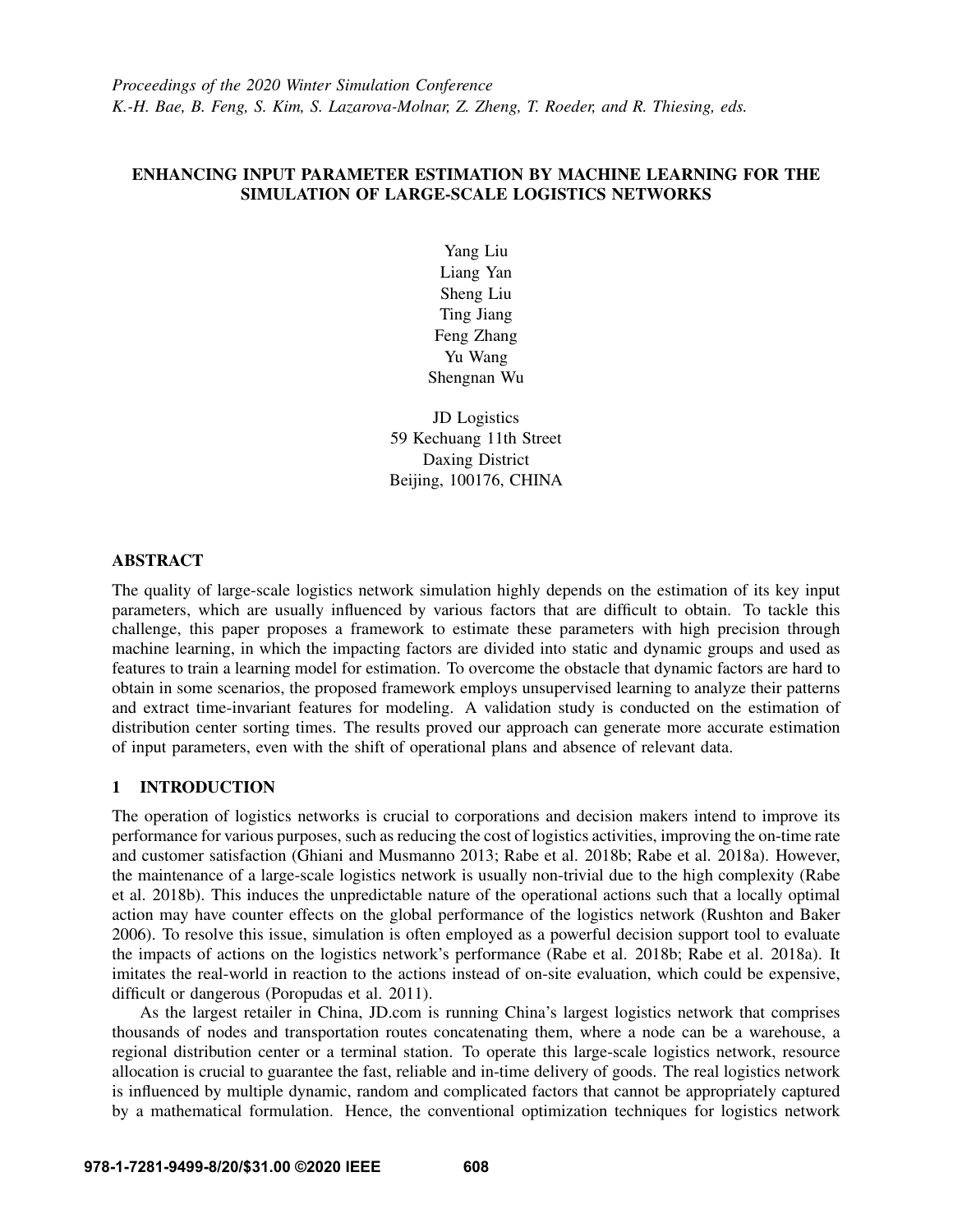# ENHANCING INPUT PARAMETER ESTIMATION BY MACHINE LEARNING FOR THE SIMULATION OF LARGE-SCALE LOGISTICS NETWORKS

Yang Liu Liang Yan Sheng Liu Ting Jiang Feng Zhang Yu Wang Shengnan Wu

JD Logistics 59 Kechuang 11th Street Daxing District Beijing, 100176, CHINA

### ABSTRACT

The quality of large-scale logistics network simulation highly depends on the estimation of its key input parameters, which are usually influenced by various factors that are difficult to obtain. To tackle this challenge, this paper proposes a framework to estimate these parameters with high precision through machine learning, in which the impacting factors are divided into static and dynamic groups and used as features to train a learning model for estimation. To overcome the obstacle that dynamic factors are hard to obtain in some scenarios, the proposed framework employs unsupervised learning to analyze their patterns and extract time-invariant features for modeling. A validation study is conducted on the estimation of distribution center sorting times. The results proved our approach can generate more accurate estimation of input parameters, even with the shift of operational plans and absence of relevant data.

# <span id="page-0-0"></span>1 INTRODUCTION

The operation of logistics networks is crucial to corporations and decision makers intend to improve its performance for various purposes, such as reducing the cost of logistics activities, improving the on-time rate and customer satisfaction [\(Ghiani and Musmanno 2013;](#page-10-0) [Rabe et al. 2018b;](#page-10-1) [Rabe et al. 2018a\)](#page-10-2). However, the maintenance of a large-scale logistics network is usually non-trivial due to the high complexity [\(Rabe](#page-10-1) [et al. 2018b\)](#page-10-1). This induces the unpredictable nature of the operational actions such that a locally optimal action may have counter effects on the global performance of the logistics network [\(Rushton and Baker](#page-10-3) [2006\)](#page-10-3). To resolve this issue, simulation is often employed as a powerful decision support tool to evaluate the impacts of actions on the logistics network's performance [\(Rabe et al. 2018b;](#page-10-1) [Rabe et al. 2018a\)](#page-10-2). It imitates the real-world in reaction to the actions instead of on-site evaluation, which could be expensive, difficult or dangerous [\(Poropudas et al. 2011\)](#page-10-4).

As the largest retailer in China, JD.com is running China's largest logistics network that comprises thousands of nodes and transportation routes concatenating them, where a node can be a warehouse, a regional distribution center or a terminal station. To operate this large-scale logistics network, resource allocation is crucial to guarantee the fast, reliable and in-time delivery of goods. The real logistics network is influenced by multiple dynamic, random and complicated factors that cannot be appropriately captured by a mathematical formulation. Hence, the conventional optimization techniques for logistics network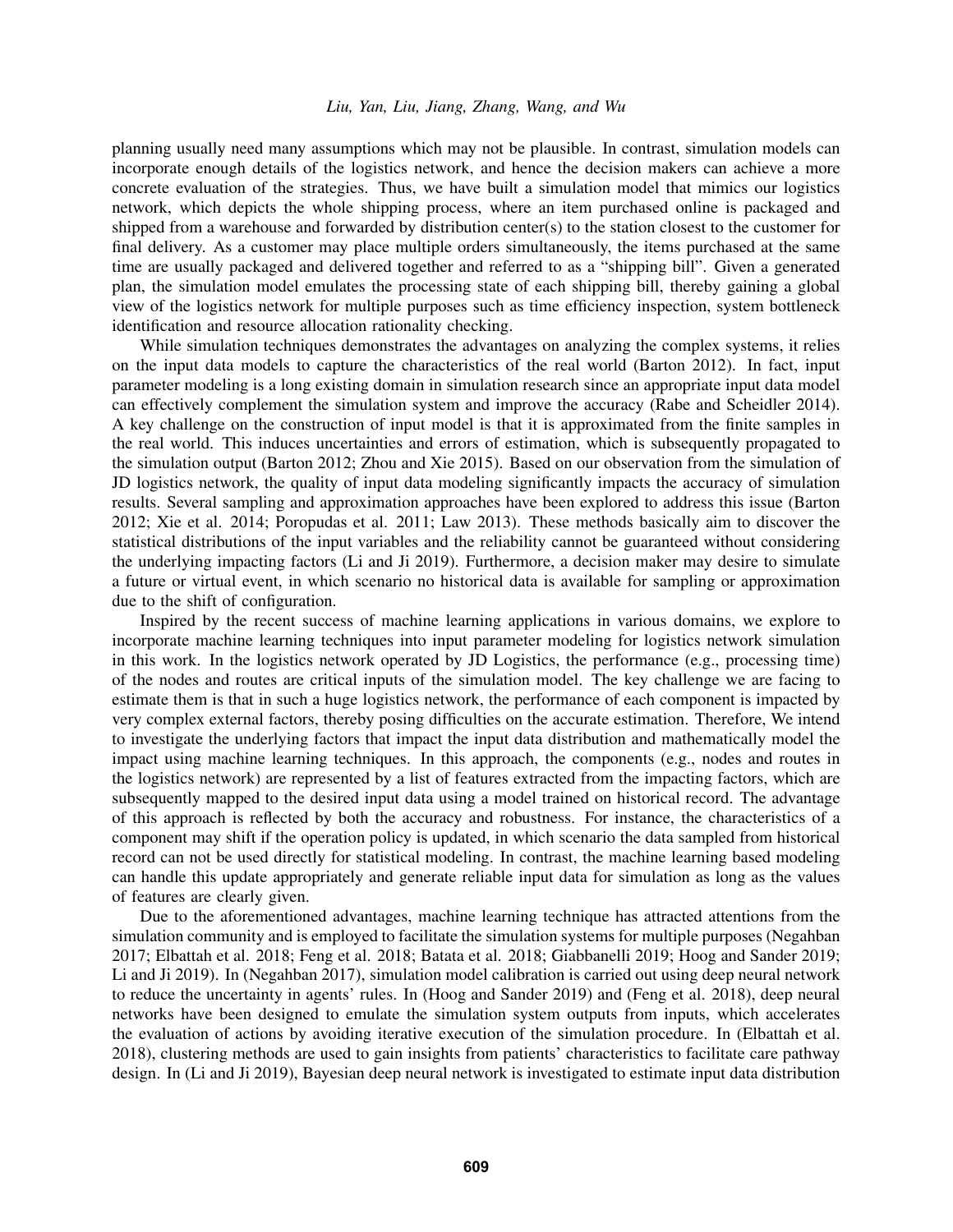#### *Liu, Yan, Liu, Jiang, Zhang, Wang, and Wu*

planning usually need many assumptions which may not be plausible. In contrast, simulation models can incorporate enough details of the logistics network, and hence the decision makers can achieve a more concrete evaluation of the strategies. Thus, we have built a simulation model that mimics our logistics network, which depicts the whole shipping process, where an item purchased online is packaged and shipped from a warehouse and forwarded by distribution center(s) to the station closest to the customer for final delivery. As a customer may place multiple orders simultaneously, the items purchased at the same time are usually packaged and delivered together and referred to as a "shipping bill". Given a generated plan, the simulation model emulates the processing state of each shipping bill, thereby gaining a global view of the logistics network for multiple purposes such as time efficiency inspection, system bottleneck identification and resource allocation rationality checking.

While simulation techniques demonstrates the advantages on analyzing the complex systems, it relies on the input data models to capture the characteristics of the real world [\(Barton 2012\)](#page-9-0). In fact, input parameter modeling is a long existing domain in simulation research since an appropriate input data model can effectively complement the simulation system and improve the accuracy [\(Rabe and Scheidler 2014\)](#page-10-5). A key challenge on the construction of input model is that it is approximated from the finite samples in the real world. This induces uncertainties and errors of estimation, which is subsequently propagated to the simulation output [\(Barton 2012;](#page-9-0) [Zhou and Xie 2015\)](#page-11-0). Based on our observation from the simulation of JD logistics network, the quality of input data modeling significantly impacts the accuracy of simulation results. Several sampling and approximation approaches have been explored to address this issue [\(Barton](#page-9-0) [2012;](#page-9-0) [Xie et al. 2014;](#page-10-6) [Poropudas et al. 2011;](#page-10-4) [Law 2013\)](#page-10-7). These methods basically aim to discover the statistical distributions of the input variables and the reliability cannot be guaranteed without considering the underlying impacting factors [\(Li and Ji 2019\)](#page-10-8). Furthermore, a decision maker may desire to simulate a future or virtual event, in which scenario no historical data is available for sampling or approximation due to the shift of configuration.

Inspired by the recent success of machine learning applications in various domains, we explore to incorporate machine learning techniques into input parameter modeling for logistics network simulation in this work. In the logistics network operated by JD Logistics, the performance (e.g., processing time) of the nodes and routes are critical inputs of the simulation model. The key challenge we are facing to estimate them is that in such a huge logistics network, the performance of each component is impacted by very complex external factors, thereby posing difficulties on the accurate estimation. Therefore, We intend to investigate the underlying factors that impact the input data distribution and mathematically model the impact using machine learning techniques. In this approach, the components (e.g., nodes and routes in the logistics network) are represented by a list of features extracted from the impacting factors, which are subsequently mapped to the desired input data using a model trained on historical record. The advantage of this approach is reflected by both the accuracy and robustness. For instance, the characteristics of a component may shift if the operation policy is updated, in which scenario the data sampled from historical record can not be used directly for statistical modeling. In contrast, the machine learning based modeling can handle this update appropriately and generate reliable input data for simulation as long as the values of features are clearly given.

Due to the aforementioned advantages, machine learning technique has attracted attentions from the simulation community and is employed to facilitate the simulation systems for multiple purposes [\(Negahban](#page-10-9) [2017;](#page-10-9) [Elbattah et al. 2018;](#page-10-10) [Feng et al. 2018;](#page-10-11) [Batata et al. 2018;](#page-10-12) [Giabbanelli 2019;](#page-10-13) [Hoog and Sander 2019;](#page-10-14) [Li and Ji 2019\)](#page-10-8). In [\(Negahban 2017\)](#page-10-9), simulation model calibration is carried out using deep neural network to reduce the uncertainty in agents' rules. In [\(Hoog and Sander 2019\)](#page-10-14) and [\(Feng et al. 2018\)](#page-10-11), deep neural networks have been designed to emulate the simulation system outputs from inputs, which accelerates the evaluation of actions by avoiding iterative execution of the simulation procedure. In [\(Elbattah et al.](#page-10-10) [2018\)](#page-10-10), clustering methods are used to gain insights from patients' characteristics to facilitate care pathway design. In [\(Li and Ji 2019\)](#page-10-8), Bayesian deep neural network is investigated to estimate input data distribution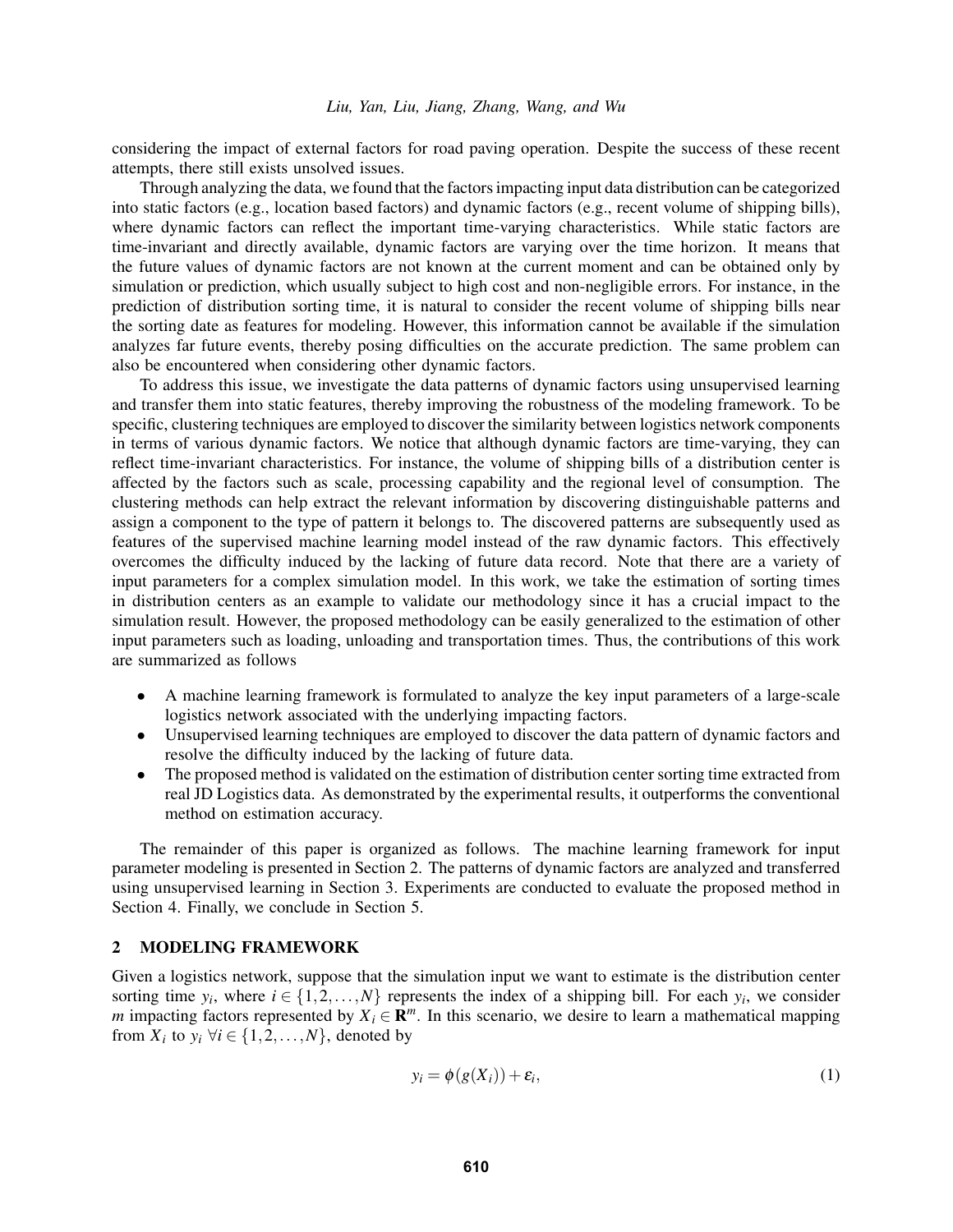considering the impact of external factors for road paving operation. Despite the success of these recent attempts, there still exists unsolved issues.

Through analyzing the data, we found that the factors impacting input data distribution can be categorized into static factors (e.g., location based factors) and dynamic factors (e.g., recent volume of shipping bills), where dynamic factors can reflect the important time-varying characteristics. While static factors are time-invariant and directly available, dynamic factors are varying over the time horizon. It means that the future values of dynamic factors are not known at the current moment and can be obtained only by simulation or prediction, which usually subject to high cost and non-negligible errors. For instance, in the prediction of distribution sorting time, it is natural to consider the recent volume of shipping bills near the sorting date as features for modeling. However, this information cannot be available if the simulation analyzes far future events, thereby posing difficulties on the accurate prediction. The same problem can also be encountered when considering other dynamic factors.

To address this issue, we investigate the data patterns of dynamic factors using unsupervised learning and transfer them into static features, thereby improving the robustness of the modeling framework. To be specific, clustering techniques are employed to discover the similarity between logistics network components in terms of various dynamic factors. We notice that although dynamic factors are time-varying, they can reflect time-invariant characteristics. For instance, the volume of shipping bills of a distribution center is affected by the factors such as scale, processing capability and the regional level of consumption. The clustering methods can help extract the relevant information by discovering distinguishable patterns and assign a component to the type of pattern it belongs to. The discovered patterns are subsequently used as features of the supervised machine learning model instead of the raw dynamic factors. This effectively overcomes the difficulty induced by the lacking of future data record. Note that there are a variety of input parameters for a complex simulation model. In this work, we take the estimation of sorting times in distribution centers as an example to validate our methodology since it has a crucial impact to the simulation result. However, the proposed methodology can be easily generalized to the estimation of other input parameters such as loading, unloading and transportation times. Thus, the contributions of this work are summarized as follows

- A machine learning framework is formulated to analyze the key input parameters of a large-scale logistics network associated with the underlying impacting factors.
- Unsupervised learning techniques are employed to discover the data pattern of dynamic factors and resolve the difficulty induced by the lacking of future data.
- The proposed method is validated on the estimation of distribution center sorting time extracted from real JD Logistics data. As demonstrated by the experimental results, it outperforms the conventional method on estimation accuracy.

The remainder of this paper is organized as follows. The machine learning framework for input parameter modeling is presented in Section [2.](#page-2-0) The patterns of dynamic factors are analyzed and transferred using unsupervised learning in Section [3.](#page-4-0) Experiments are conducted to evaluate the proposed method in Section [4.](#page-6-0) Finally, we conclude in Section [5.](#page-9-1)

### <span id="page-2-0"></span>2 MODELING FRAMEWORK

Given a logistics network, suppose that the simulation input we want to estimate is the distribution center sorting time  $y_i$ , where  $i \in \{1, 2, ..., N\}$  represents the index of a shipping bill. For each  $y_i$ , we consider *m* impacting factors represented by  $X_i \in \mathbb{R}^m$ . In this scenario, we desire to learn a mathematical mapping from  $X_i$  to  $y_i \forall i \in \{1, 2, ..., N\}$ , denoted by

$$
y_i = \phi(g(X_i)) + \varepsilon_i, \tag{1}
$$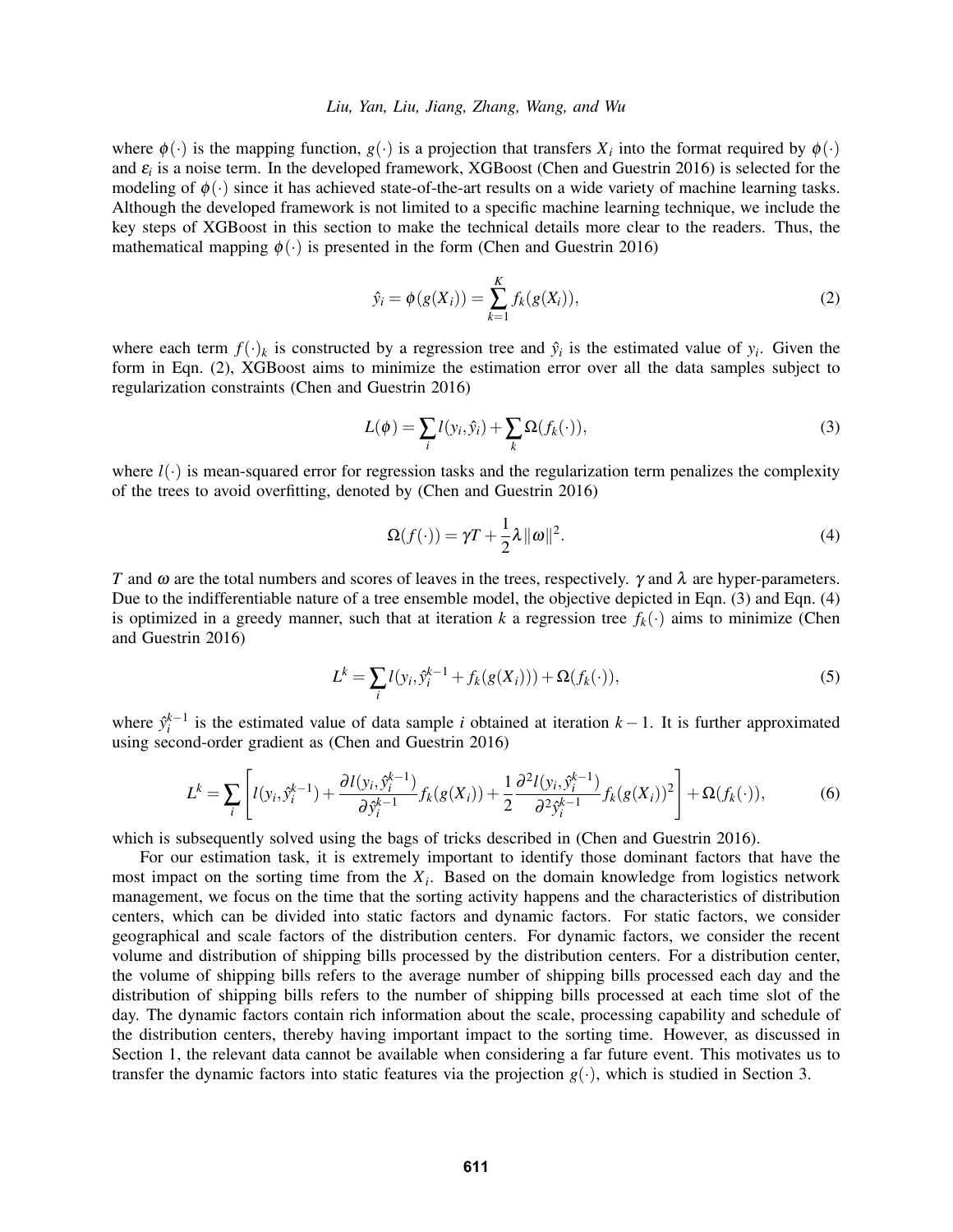#### *Liu, Yan, Liu, Jiang, Zhang, Wang, and Wu*

where  $\phi(\cdot)$  is the mapping function,  $g(\cdot)$  is a projection that transfers  $X_i$  into the format required by  $\phi(\cdot)$ and  $\varepsilon_i$  is a noise term. In the developed framework, XGBoost [\(Chen and Guestrin 2016\)](#page-10-15) is selected for the modeling of  $\phi(\cdot)$  since it has achieved state-of-the-art results on a wide variety of machine learning tasks. Although the developed framework is not limited to a specific machine learning technique, we include the key steps of XGBoost in this section to make the technical details more clear to the readers. Thus, the mathematical mapping  $\phi(\cdot)$  is presented in the form [\(Chen and Guestrin 2016\)](#page-10-15)

<span id="page-3-0"></span>
$$
\hat{y}_i = \phi(g(X_i)) = \sum_{k=1}^K f_k(g(X_i)),
$$
\n(2)

where each term  $f(\cdot)_k$  is constructed by a regression tree and  $\hat{y}_i$  is the estimated value of  $y_i$ . Given the form in Eqn. [\(2\)](#page-3-0), XGBoost aims to minimize the estimation error over all the data samples subject to regularization constraints [\(Chen and Guestrin 2016\)](#page-10-15)

<span id="page-3-1"></span>
$$
L(\phi) = \sum_{i} l(y_i, \hat{y}_i) + \sum_{k} \Omega(f_k(\cdot)),
$$
\n(3)

where  $l(\cdot)$  is mean-squared error for regression tasks and the regularization term penalizes the complexity of the trees to avoid overfitting, denoted by [\(Chen and Guestrin 2016\)](#page-10-15)

<span id="page-3-2"></span>
$$
\Omega(f(\cdot)) = \gamma T + \frac{1}{2}\lambda \|\omega\|^2. \tag{4}
$$

*T* and  $\omega$  are the total numbers and scores of leaves in the trees, respectively.  $\gamma$  and  $\lambda$  are hyper-parameters. Due to the indifferentiable nature of a tree ensemble model, the objective depicted in Eqn. [\(3\)](#page-3-1) and Eqn. [\(4\)](#page-3-2) is optimized in a greedy manner, such that at iteration *k* a regression tree  $f_k(\cdot)$  aims to minimize [\(Chen](#page-10-15) [and Guestrin 2016\)](#page-10-15)

$$
L^{k} = \sum_{i} l(y_{i}, \hat{y}_{i}^{k-1} + f_{k}(g(X_{i}))) + \Omega(f_{k}(\cdot)),
$$
\n(5)

where  $\hat{y}_i^{k-1}$  is the estimated value of data sample *i* obtained at iteration  $k-1$ . It is further approximated using second-order gradient as [\(Chen and Guestrin 2016\)](#page-10-15)

$$
L^{k} = \sum_{i} \left[ l(y_{i}, \hat{y}_{i}^{k-1}) + \frac{\partial l(y_{i}, \hat{y}_{i}^{k-1})}{\partial \hat{y}_{i}^{k-1}} f_{k}(g(X_{i})) + \frac{1}{2} \frac{\partial^{2} l(y_{i}, \hat{y}_{i}^{k-1})}{\partial^{2} \hat{y}_{i}^{k-1}} f_{k}(g(X_{i}))^{2} \right] + \Omega(f_{k}(\cdot)),
$$
(6)

which is subsequently solved using the bags of tricks described in [\(Chen and Guestrin 2016\)](#page-10-15).

For our estimation task, it is extremely important to identify those dominant factors that have the most impact on the sorting time from the  $X_i$ . Based on the domain knowledge from logistics network management, we focus on the time that the sorting activity happens and the characteristics of distribution centers, which can be divided into static factors and dynamic factors. For static factors, we consider geographical and scale factors of the distribution centers. For dynamic factors, we consider the recent volume and distribution of shipping bills processed by the distribution centers. For a distribution center, the volume of shipping bills refers to the average number of shipping bills processed each day and the distribution of shipping bills refers to the number of shipping bills processed at each time slot of the day. The dynamic factors contain rich information about the scale, processing capability and schedule of the distribution centers, thereby having important impact to the sorting time. However, as discussed in Section [1,](#page-0-0) the relevant data cannot be available when considering a far future event. This motivates us to transfer the dynamic factors into static features via the projection  $g(\cdot)$ , which is studied in Section [3.](#page-4-0)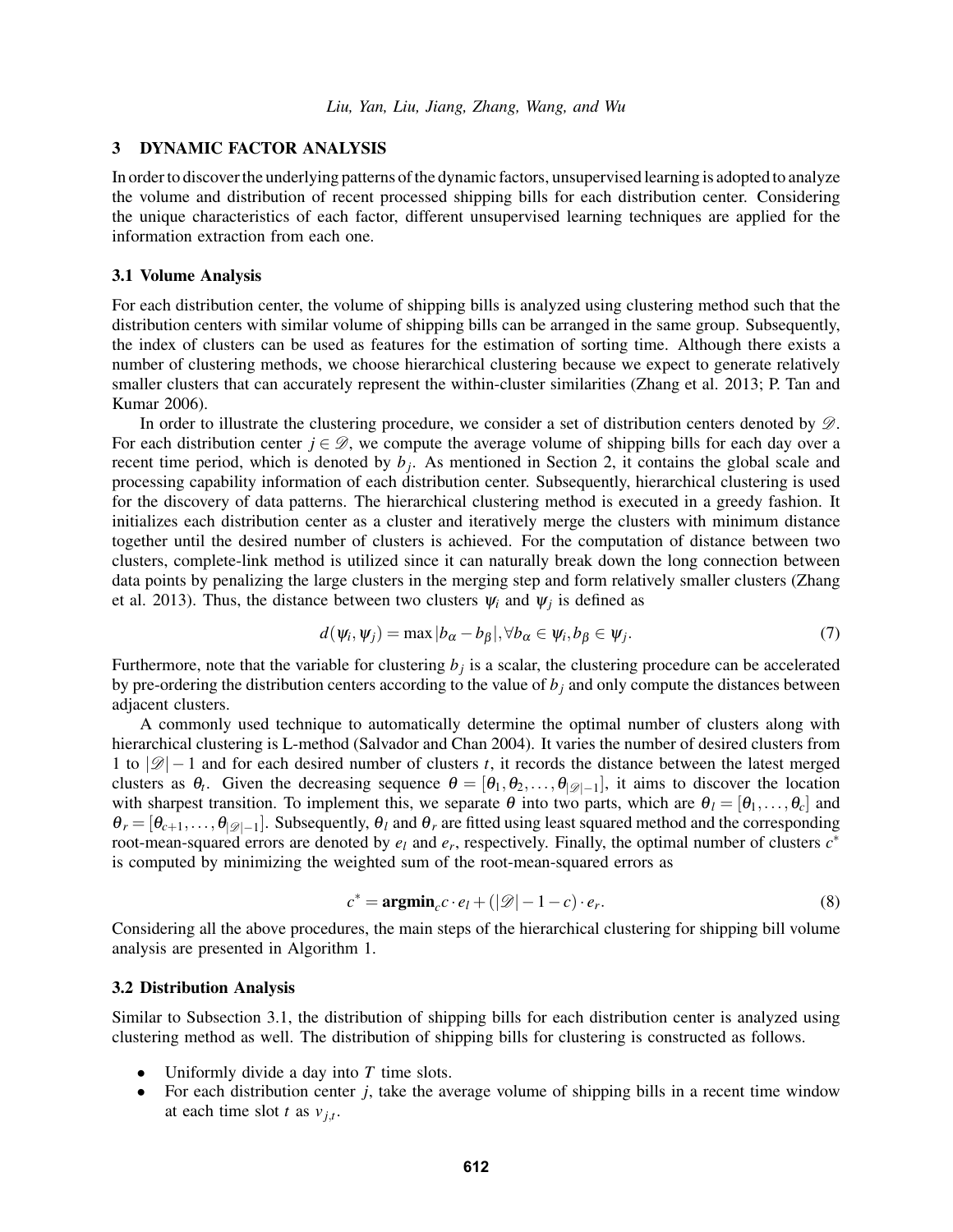### <span id="page-4-0"></span>3 DYNAMIC FACTOR ANALYSIS

In order to discover the underlying patterns of the dynamic factors, unsupervised learning is adopted to analyze the volume and distribution of recent processed shipping bills for each distribution center. Considering the unique characteristics of each factor, different unsupervised learning techniques are applied for the information extraction from each one.

#### <span id="page-4-1"></span>3.1 Volume Analysis

For each distribution center, the volume of shipping bills is analyzed using clustering method such that the distribution centers with similar volume of shipping bills can be arranged in the same group. Subsequently, the index of clusters can be used as features for the estimation of sorting time. Although there exists a number of clustering methods, we choose hierarchical clustering because we expect to generate relatively smaller clusters that can accurately represent the within-cluster similarities [\(Zhang et al. 2013;](#page-11-1) [P. Tan and](#page-10-16) [Kumar 2006\)](#page-10-16).

In order to illustrate the clustering procedure, we consider a set of distribution centers denoted by  $\mathscr{D}$ . For each distribution center  $j \in \mathcal{D}$ , we compute the average volume of shipping bills for each day over a recent time period, which is denoted by *b<sup>j</sup>* . As mentioned in Section [2,](#page-2-0) it contains the global scale and processing capability information of each distribution center. Subsequently, hierarchical clustering is used for the discovery of data patterns. The hierarchical clustering method is executed in a greedy fashion. It initializes each distribution center as a cluster and iteratively merge the clusters with minimum distance together until the desired number of clusters is achieved. For the computation of distance between two clusters, complete-link method is utilized since it can naturally break down the long connection between data points by penalizing the large clusters in the merging step and form relatively smaller clusters [\(Zhang](#page-11-1) [et al. 2013\)](#page-11-1). Thus, the distance between two clusters  $\psi_i$  and  $\psi_j$  is defined as

<span id="page-4-2"></span>
$$
d(\psi_i, \psi_j) = \max |b_{\alpha} - b_{\beta}|, \forall b_{\alpha} \in \psi_i, b_{\beta} \in \psi_j.
$$
 (7)

Furthermore, note that the variable for clustering *b<sup>j</sup>* is a scalar, the clustering procedure can be accelerated by pre-ordering the distribution centers according to the value of  $b_j$  and only compute the distances between adjacent clusters.

A commonly used technique to automatically determine the optimal number of clusters along with hierarchical clustering is L-method [\(Salvador and Chan 2004\)](#page-10-17). It varies the number of desired clusters from 1 to  $|\mathscr{D}|-1$  and for each desired number of clusters *t*, it records the distance between the latest merged clusters as  $\theta_t$ . Given the decreasing sequence  $\theta = [\theta_1, \theta_2, \dots, \theta_{|\mathscr{D}|-1}]$ , it aims to discover the location with sharpest transition. To implement this, we separate  $\theta$  into two parts, which are  $\theta_l = [\theta_1, \dots, \theta_c]$  and  $\theta_r = [\theta_{c+1}, \dots, \theta_{|\mathcal{D}|-1}]$ . Subsequently,  $\theta_l$  and  $\theta_r$  are fitted using least squared method and the corresponding root-mean-squared errors are denoted by  $e_l$  and  $e_r$ , respectively. Finally, the optimal number of clusters  $c^*$ is computed by minimizing the weighted sum of the root-mean-squared errors as

<span id="page-4-3"></span>
$$
c^* = \operatorname{argmin}_{c} c \cdot e_l + (|\mathcal{D}| - 1 - c) \cdot e_r.
$$
 (8)

Considering all the above procedures, the main steps of the hierarchical clustering for shipping bill volume analysis are presented in Algorithm [1.](#page-5-0)

#### <span id="page-4-4"></span>3.2 Distribution Analysis

Similar to Subsection [3.1,](#page-4-1) the distribution of shipping bills for each distribution center is analyzed using clustering method as well. The distribution of shipping bills for clustering is constructed as follows.

- Uniformly divide a day into *T* time slots.
- For each distribution center *j*, take the average volume of shipping bills in a recent time window at each time slot *t* as  $v_{j,t}$ .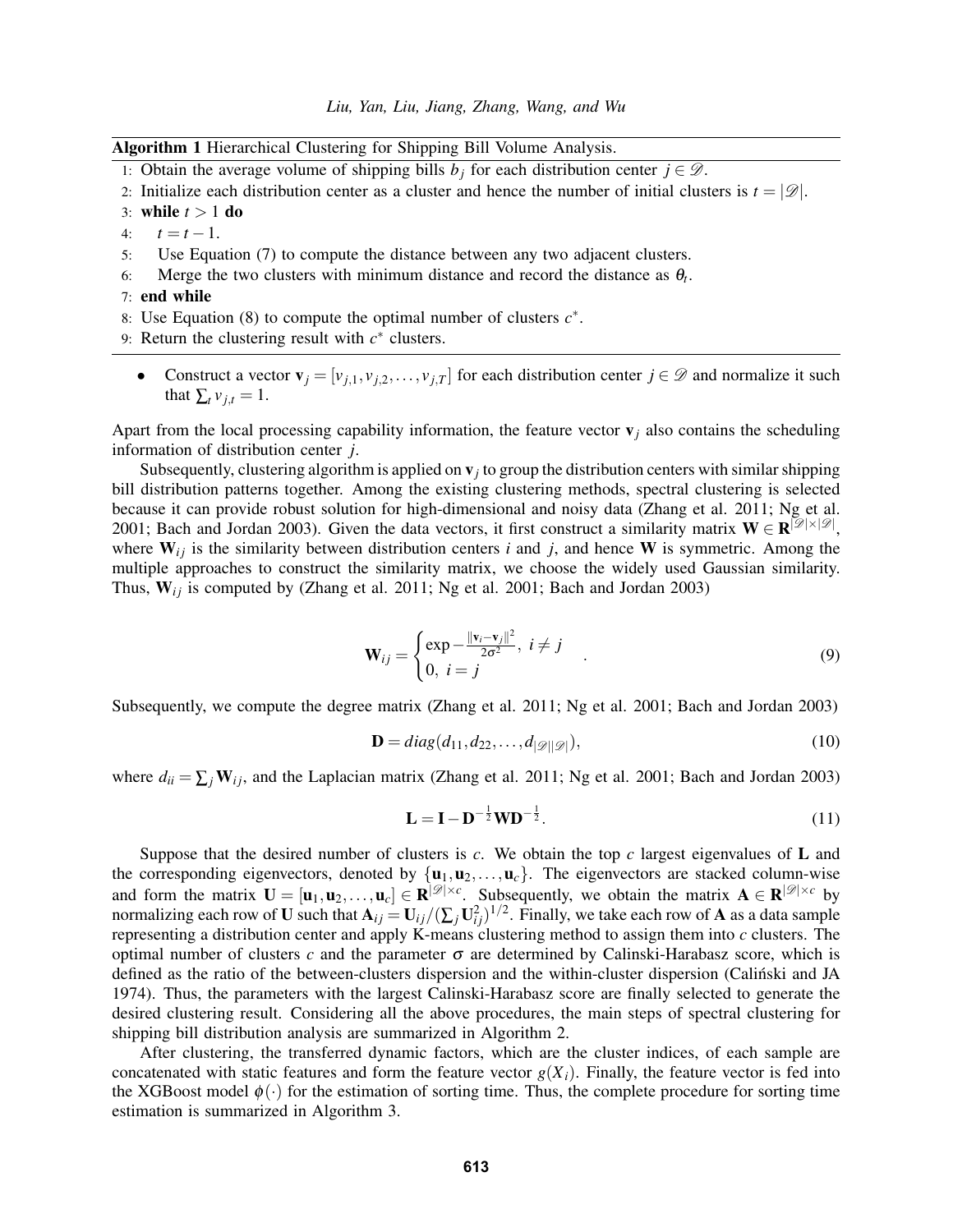<span id="page-5-0"></span>Algorithm 1 Hierarchical Clustering for Shipping Bill Volume Analysis.

- 1: Obtain the average volume of shipping bills  $b_j$  for each distribution center  $j \in \mathcal{D}$ .
- 2: Initialize each distribution center as a cluster and hence the number of initial clusters is  $t = |\mathscr{D}|$ .
- 3: while *t* > 1 do
- 4:  $t = t 1$ .
- 5: Use Equation [\(7\)](#page-4-2) to compute the distance between any two adjacent clusters.
- 6: Merge the two clusters with minimum distance and record the distance as  $\theta_t$ .
- 7: end while
- 8: Use Equation [\(8\)](#page-4-3) to compute the optimal number of clusters *c* ∗ .
- 9: Return the clustering result with  $c^*$  clusters.
	- Construct a vector  $\mathbf{v}_j = [v_{j,1}, v_{j,2}, \dots, v_{j,T}]$  for each distribution center  $j \in \mathcal{D}$  and normalize it such that  $\sum_t v_{i,t} = 1$ .

Apart from the local processing capability information, the feature vector  $\mathbf{v}_i$  also contains the scheduling information of distribution center *j*.

Subsequently, clustering algorithm is applied on  $v_j$  to group the distribution centers with similar shipping bill distribution patterns together. Among the existing clustering methods, spectral clustering is selected because it can provide robust solution for high-dimensional and noisy data [\(Zhang et al. 2011;](#page-11-2) [Ng et al.](#page-10-18) [2001;](#page-10-18) [Bach and Jordan 2003\)](#page-9-2). Given the data vectors, it first construct a similarity matrix  $W \in R^{[\mathscr{D}|\times|\mathscr{D}|]}$ , where  $W_{ij}$  is the similarity between distribution centers *i* and *j*, and hence **W** is symmetric. Among the multiple approaches to construct the similarity matrix, we choose the widely used Gaussian similarity. Thus,  $W_{ij}$  is computed by [\(Zhang et al. 2011;](#page-11-2) [Ng et al. 2001;](#page-10-18) [Bach and Jordan 2003\)](#page-9-2)

$$
\mathbf{W}_{ij} = \begin{cases} \exp -\frac{\|\mathbf{v}_i - \mathbf{v}_j\|^2}{2\sigma^2}, & i \neq j \\ 0, & i = j \end{cases} \tag{9}
$$

Subsequently, we compute the degree matrix [\(Zhang et al. 2011;](#page-11-2) [Ng et al. 2001;](#page-10-18) [Bach and Jordan 2003\)](#page-9-2)

<span id="page-5-2"></span>
$$
\mathbf{D} = diag(d_{11}, d_{22}, \dots, d_{|\mathcal{D}||\mathcal{D}|}),
$$
\n(10)

where  $d_{ii} = \sum_j \mathbf{W}_{ij}$ , and the Laplacian matrix [\(Zhang et al. 2011;](#page-11-2) [Ng et al. 2001;](#page-10-18) [Bach and Jordan 2003\)](#page-9-2)

<span id="page-5-3"></span><span id="page-5-1"></span>
$$
\mathbf{L} = \mathbf{I} - \mathbf{D}^{-\frac{1}{2}} \mathbf{W} \mathbf{D}^{-\frac{1}{2}}.
$$
 (11)

Suppose that the desired number of clusters is  $c$ . We obtain the top  $c$  largest eigenvalues of  $L$  and the corresponding eigenvectors, denoted by  $\{u_1, u_2, \ldots, u_c\}$ . The eigenvectors are stacked column-wise and form the matrix  $\mathbf{U} = [\mathbf{u}_1, \mathbf{u}_2, \dots, \mathbf{u}_c] \in \mathbb{R}^{|\mathcal{D}| \times c}$ . Subsequently, we obtain the matrix  $\mathbf{A} \in \mathbb{R}^{|\mathcal{D}| \times c}$  by normalizing each row of **U** such that  $A_{ij} = U_{ij}/(\sum_j U_{ij}^2)^{1/2}$ . Finally, we take each row of A as a data sample representing a distribution center and apply K-means clustering method to assign them into *c* clusters. The optimal number of clusters  $c$  and the parameter  $\sigma$  are determined by Calinski-Harabasz score, which is defined as the ratio of the between-clusters dispersion and the within-cluster dispersion [\(Calinski and JA](#page-10-19) [1974\)](#page-10-19). Thus, the parameters with the largest Calinski-Harabasz score are finally selected to generate the desired clustering result. Considering all the above procedures, the main steps of spectral clustering for shipping bill distribution analysis are summarized in Algorithm [2.](#page-6-1)

After clustering, the transferred dynamic factors, which are the cluster indices, of each sample are concatenated with static features and form the feature vector  $g(X_i)$ . Finally, the feature vector is fed into the XGBoost model  $\phi(\cdot)$  for the estimation of sorting time. Thus, the complete procedure for sorting time estimation is summarized in Algorithm [3.](#page-6-2)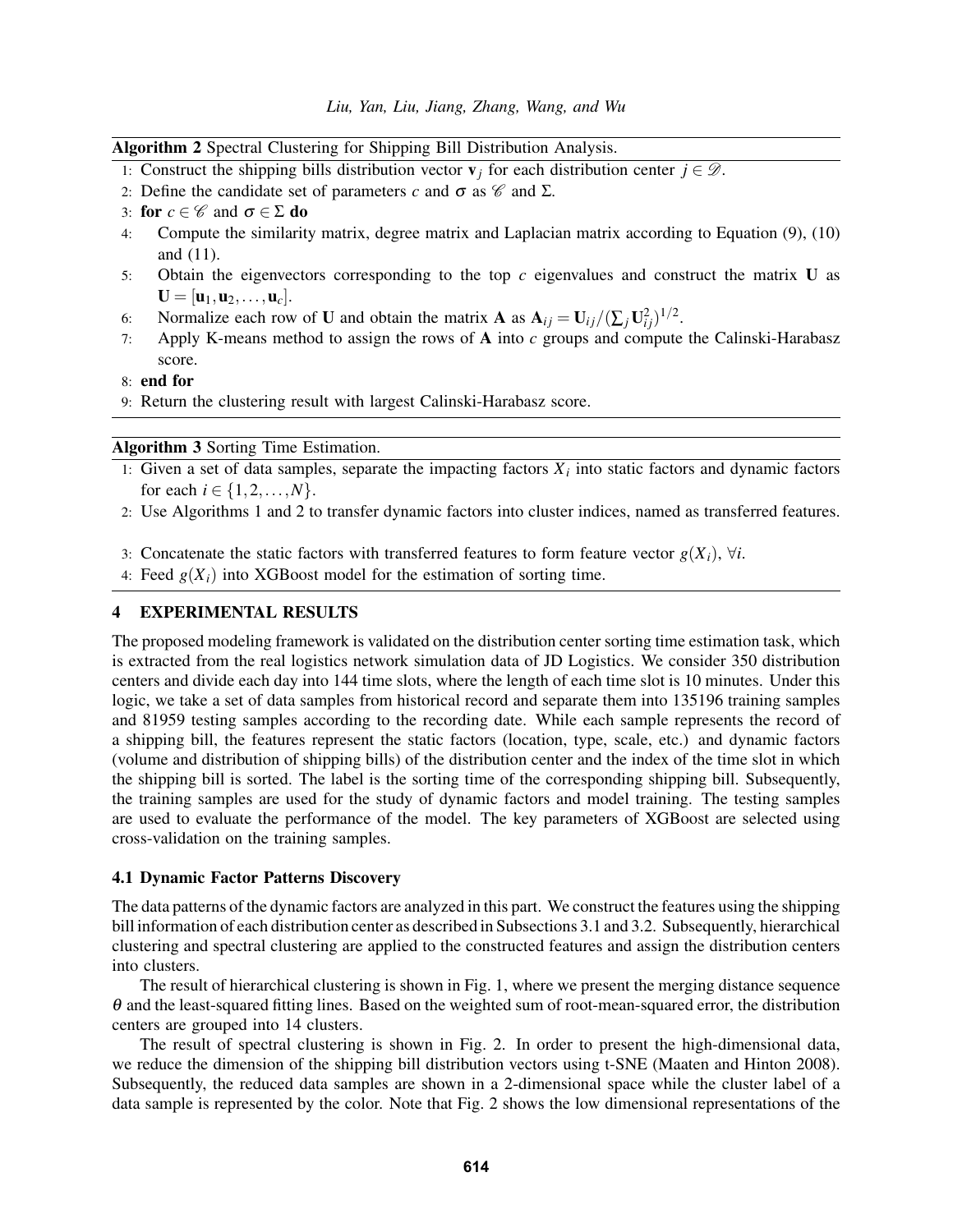<span id="page-6-1"></span>Algorithm 2 Spectral Clustering for Shipping Bill Distribution Analysis.

- 1: Construct the shipping bills distribution vector  $\mathbf{v}_i$  for each distribution center  $j \in \mathcal{D}$ .
- 2: Define the candidate set of parameters *c* and  $\sigma$  as  $\mathscr C$  and  $\Sigma$ .
- 3: for  $c \in \mathscr{C}$  and  $\sigma \in \Sigma$  do
- 4: Compute the similarity matrix, degree matrix and Laplacian matrix according to Equation [\(9\)](#page-5-1), [\(10\)](#page-5-2) and [\(11\)](#page-5-3).
- 5: Obtain the eigenvectors corresponding to the top *c* eigenvalues and construct the matrix U as  $U = [\mathbf{u}_1, \mathbf{u}_2, \dots, \mathbf{u}_c].$
- 6: Normalize each row of **U** and obtain the matrix **A** as  $A_{ij} = U_{ij}/(\sum_j U_{ij}^2)^{1/2}$ .
- 7: Apply K-means method to assign the rows of A into *c* groups and compute the Calinski-Harabasz score.
- 8: end for
- 9: Return the clustering result with largest Calinski-Harabasz score.

### <span id="page-6-2"></span>Algorithm 3 Sorting Time Estimation.

- 1: Given a set of data samples, separate the impacting factors  $X_i$  into static factors and dynamic factors for each  $i \in \{1, 2, ..., N\}$ .
- 2: Use Algorithms [1](#page-5-0) and [2](#page-6-1) to transfer dynamic factors into cluster indices, named as transferred features.
- 3: Concatenate the static factors with transferred features to form feature vector  $g(X_i)$ ,  $\forall i$ .
- 4: Feed  $g(X_i)$  into XGBoost model for the estimation of sorting time.

### <span id="page-6-0"></span>4 EXPERIMENTAL RESULTS

The proposed modeling framework is validated on the distribution center sorting time estimation task, which is extracted from the real logistics network simulation data of JD Logistics. We consider 350 distribution centers and divide each day into 144 time slots, where the length of each time slot is 10 minutes. Under this logic, we take a set of data samples from historical record and separate them into 135196 training samples and 81959 testing samples according to the recording date. While each sample represents the record of a shipping bill, the features represent the static factors (location, type, scale, etc.) and dynamic factors (volume and distribution of shipping bills) of the distribution center and the index of the time slot in which the shipping bill is sorted. The label is the sorting time of the corresponding shipping bill. Subsequently, the training samples are used for the study of dynamic factors and model training. The testing samples are used to evaluate the performance of the model. The key parameters of XGBoost are selected using cross-validation on the training samples.

#### 4.1 Dynamic Factor Patterns Discovery

The data patterns of the dynamic factors are analyzed in this part. We construct the features using the shipping bill information of each distribution center as described in Subsections [3.1](#page-4-1) and [3.2.](#page-4-4) Subsequently, hierarchical clustering and spectral clustering are applied to the constructed features and assign the distribution centers into clusters.

The result of hierarchical clustering is shown in Fig. [1,](#page-7-0) where we present the merging distance sequence  $\theta$  and the least-squared fitting lines. Based on the weighted sum of root-mean-squared error, the distribution centers are grouped into 14 clusters.

The result of spectral clustering is shown in Fig. [2.](#page-7-1) In order to present the high-dimensional data, we reduce the dimension of the shipping bill distribution vectors using t-SNE [\(Maaten and Hinton 2008\)](#page-10-20). Subsequently, the reduced data samples are shown in a 2-dimensional space while the cluster label of a data sample is represented by the color. Note that Fig. [2](#page-7-1) shows the low dimensional representations of the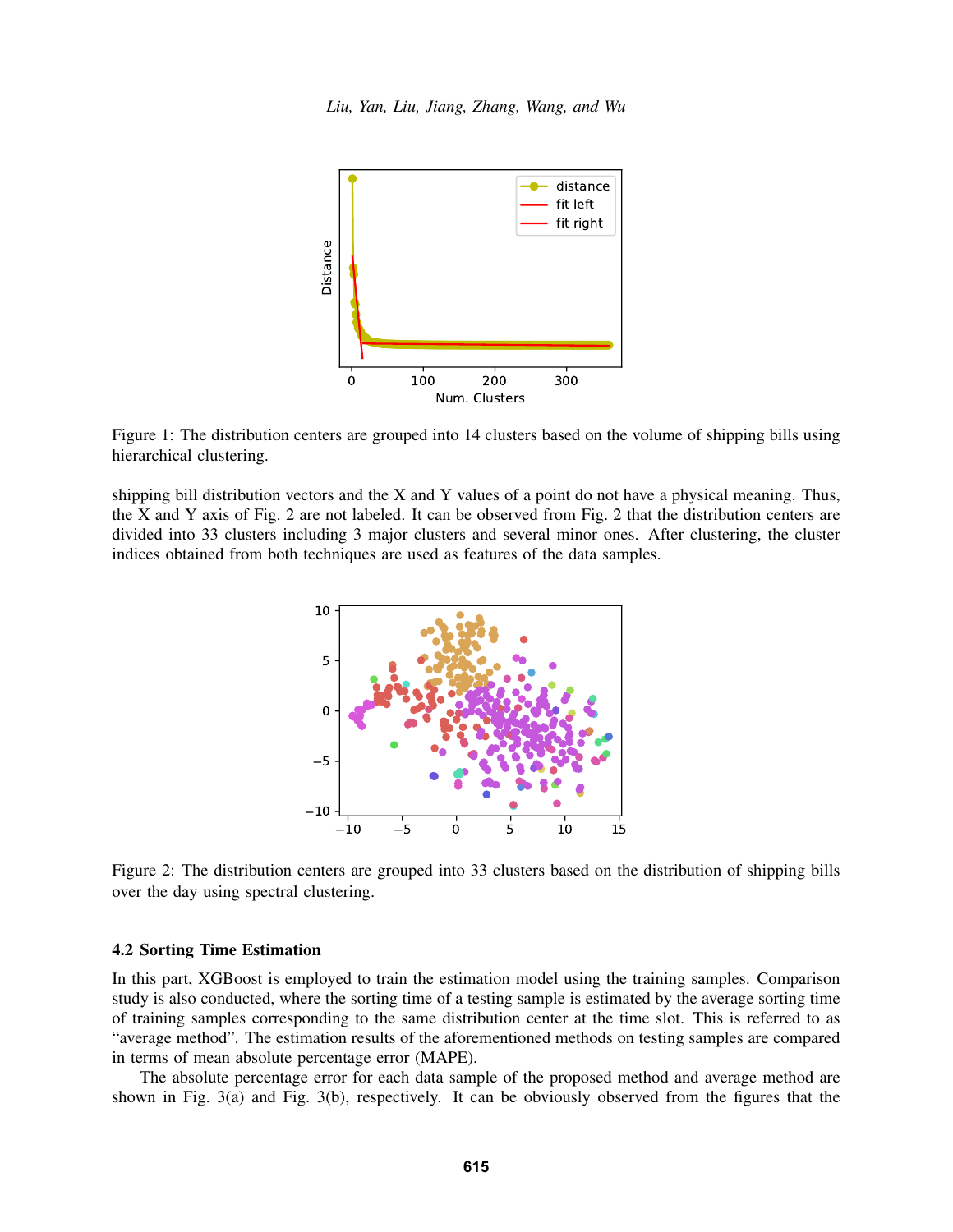

<span id="page-7-0"></span>Figure 1: The distribution centers are grouped into 14 clusters based on the volume of shipping bills using hierarchical clustering.

shipping bill distribution vectors and the X and Y values of a point do not have a physical meaning. Thus, the X and Y axis of Fig. [2](#page-7-1) are not labeled. It can be observed from Fig. [2](#page-7-1) that the distribution centers are divided into 33 clusters including 3 major clusters and several minor ones. After clustering, the cluster indices obtained from both techniques are used as features of the data samples.



<span id="page-7-1"></span>Figure 2: The distribution centers are grouped into 33 clusters based on the distribution of shipping bills over the day using spectral clustering.

## 4.2 Sorting Time Estimation

In this part, XGBoost is employed to train the estimation model using the training samples. Comparison study is also conducted, where the sorting time of a testing sample is estimated by the average sorting time of training samples corresponding to the same distribution center at the time slot. This is referred to as "average method". The estimation results of the aforementioned methods on testing samples are compared in terms of mean absolute percentage error (MAPE).

The absolute percentage error for each data sample of the proposed method and average method are shown in Fig. [3\(](#page-8-0)a) and Fig. [3\(](#page-8-0)b), respectively. It can be obviously observed from the figures that the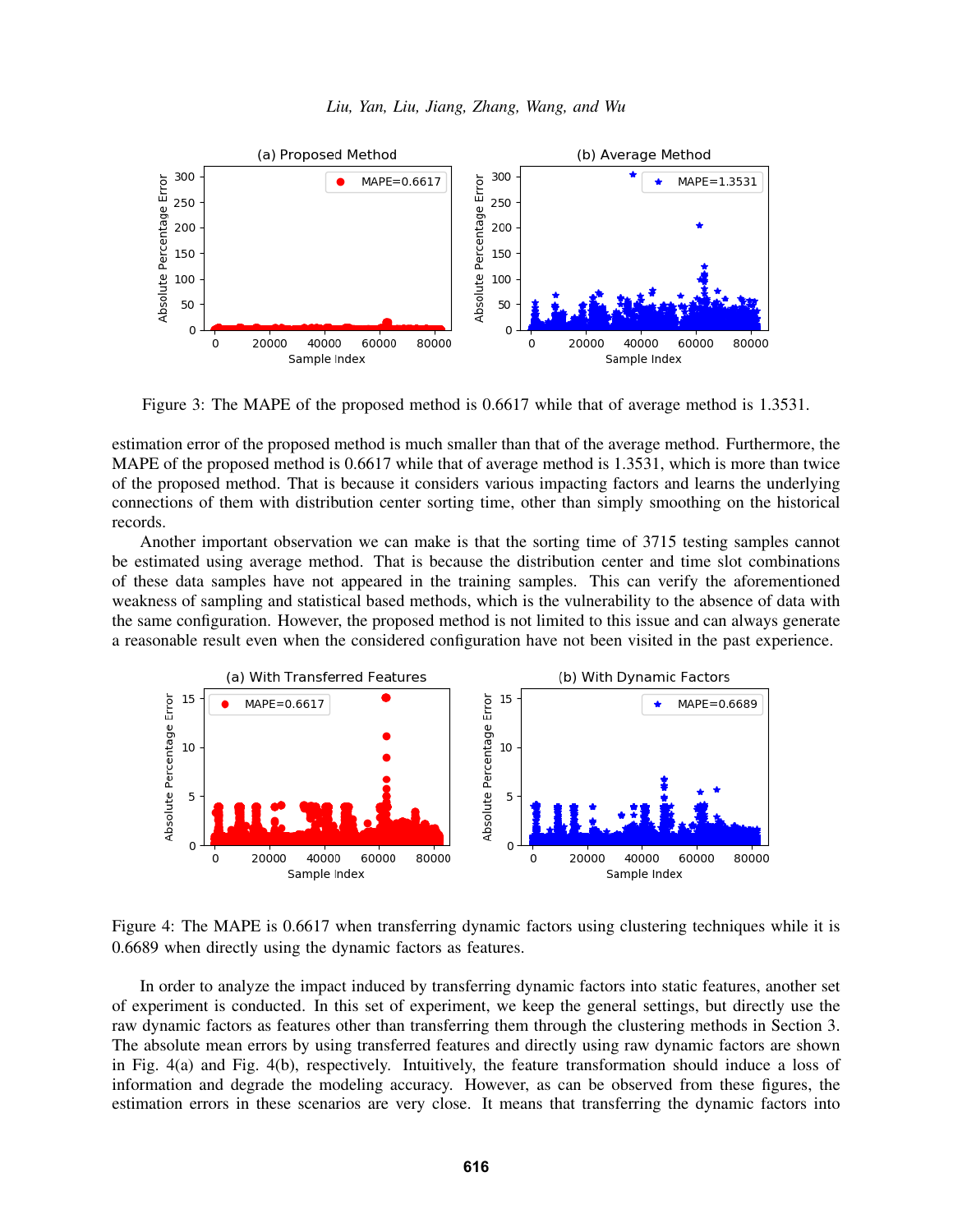

<span id="page-8-0"></span>Figure 3: The MAPE of the proposed method is 0.6617 while that of average method is 1.3531.

estimation error of the proposed method is much smaller than that of the average method. Furthermore, the MAPE of the proposed method is 0.6617 while that of average method is 1.3531, which is more than twice of the proposed method. That is because it considers various impacting factors and learns the underlying connections of them with distribution center sorting time, other than simply smoothing on the historical records.

Another important observation we can make is that the sorting time of 3715 testing samples cannot be estimated using average method. That is because the distribution center and time slot combinations of these data samples have not appeared in the training samples. This can verify the aforementioned weakness of sampling and statistical based methods, which is the vulnerability to the absence of data with the same configuration. However, the proposed method is not limited to this issue and can always generate a reasonable result even when the considered configuration have not been visited in the past experience.



<span id="page-8-1"></span>Figure 4: The MAPE is 0.6617 when transferring dynamic factors using clustering techniques while it is 0.6689 when directly using the dynamic factors as features.

In order to analyze the impact induced by transferring dynamic factors into static features, another set of experiment is conducted. In this set of experiment, we keep the general settings, but directly use the raw dynamic factors as features other than transferring them through the clustering methods in Section [3.](#page-4-0) The absolute mean errors by using transferred features and directly using raw dynamic factors are shown in Fig. [4\(](#page-8-1)a) and Fig. [4\(](#page-8-1)b), respectively. Intuitively, the feature transformation should induce a loss of information and degrade the modeling accuracy. However, as can be observed from these figures, the estimation errors in these scenarios are very close. It means that transferring the dynamic factors into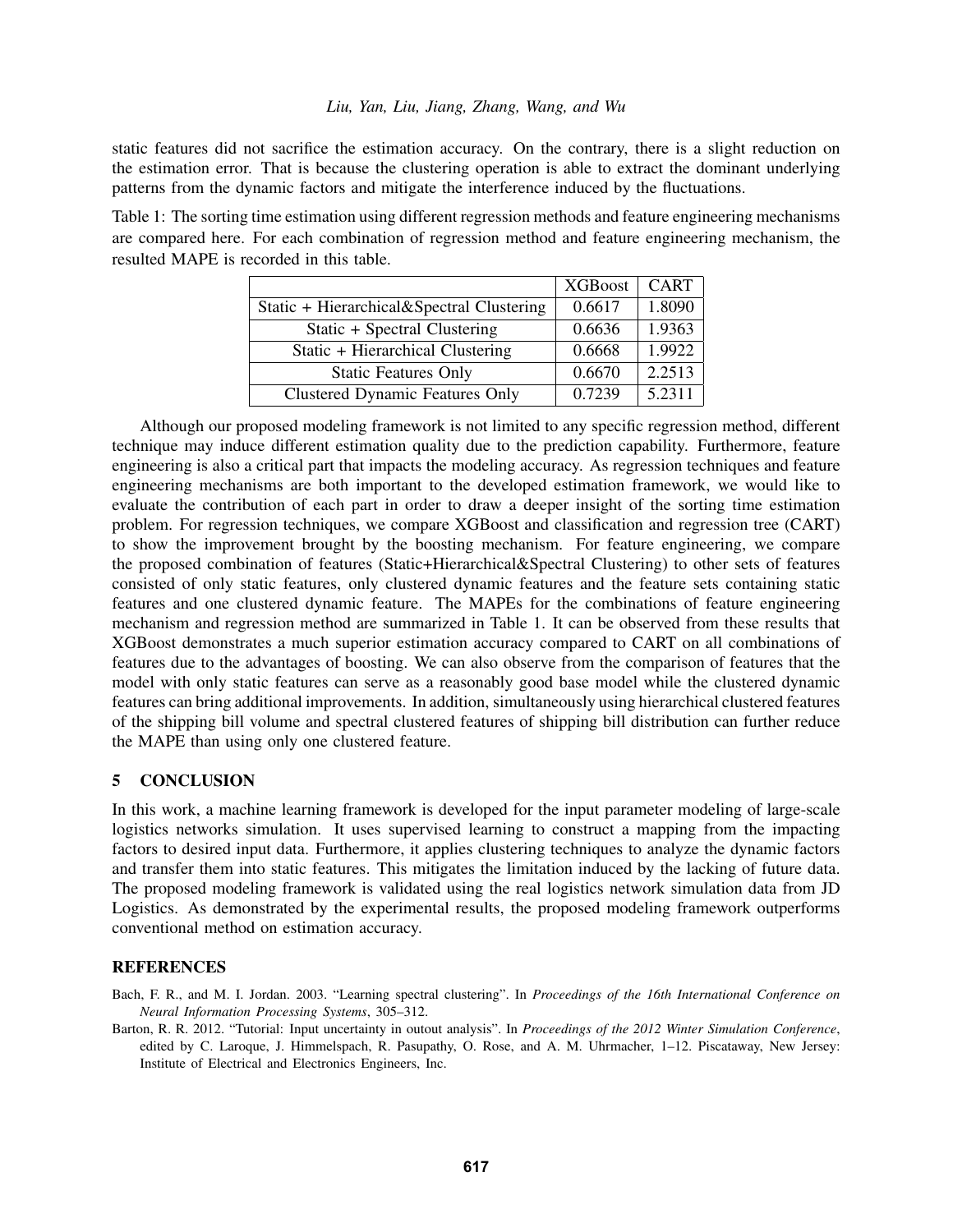### *Liu, Yan, Liu, Jiang, Zhang, Wang, and Wu*

static features did not sacrifice the estimation accuracy. On the contrary, there is a slight reduction on the estimation error. That is because the clustering operation is able to extract the dominant underlying patterns from the dynamic factors and mitigate the interference induced by the fluctuations.

<span id="page-9-3"></span>Table 1: The sorting time estimation using different regression methods and feature engineering mechanisms are compared here. For each combination of regression method and feature engineering mechanism, the resulted MAPE is recorded in this table.

|                                           | <b>XGBoost</b> | <b>CART</b> |
|-------------------------------------------|----------------|-------------|
| Static + Hierarchical&Spectral Clustering | 0.6617         | 1.8090      |
| Static + Spectral Clustering              | 0.6636         | 1.9363      |
| Static + Hierarchical Clustering          | 0.6668         | 1.9922      |
| <b>Static Features Only</b>               | 0.6670         | 2.2513      |
| <b>Clustered Dynamic Features Only</b>    | 0.7239         | 5.2311      |

Although our proposed modeling framework is not limited to any specific regression method, different technique may induce different estimation quality due to the prediction capability. Furthermore, feature engineering is also a critical part that impacts the modeling accuracy. As regression techniques and feature engineering mechanisms are both important to the developed estimation framework, we would like to evaluate the contribution of each part in order to draw a deeper insight of the sorting time estimation problem. For regression techniques, we compare XGBoost and classification and regression tree (CART) to show the improvement brought by the boosting mechanism. For feature engineering, we compare the proposed combination of features (Static+Hierarchical&Spectral Clustering) to other sets of features consisted of only static features, only clustered dynamic features and the feature sets containing static features and one clustered dynamic feature. The MAPEs for the combinations of feature engineering mechanism and regression method are summarized in Table [1.](#page-9-3) It can be observed from these results that XGBoost demonstrates a much superior estimation accuracy compared to CART on all combinations of features due to the advantages of boosting. We can also observe from the comparison of features that the model with only static features can serve as a reasonably good base model while the clustered dynamic features can bring additional improvements. In addition, simultaneously using hierarchical clustered features of the shipping bill volume and spectral clustered features of shipping bill distribution can further reduce the MAPE than using only one clustered feature.

# <span id="page-9-1"></span>5 CONCLUSION

In this work, a machine learning framework is developed for the input parameter modeling of large-scale logistics networks simulation. It uses supervised learning to construct a mapping from the impacting factors to desired input data. Furthermore, it applies clustering techniques to analyze the dynamic factors and transfer them into static features. This mitigates the limitation induced by the lacking of future data. The proposed modeling framework is validated using the real logistics network simulation data from JD Logistics. As demonstrated by the experimental results, the proposed modeling framework outperforms conventional method on estimation accuracy.

# **REFERENCES**

<span id="page-9-2"></span>Bach, F. R., and M. I. Jordan. 2003. "Learning spectral clustering". In *Proceedings of the 16th International Conference on Neural Information Processing Systems*, 305–312.

<span id="page-9-0"></span>Barton, R. R. 2012. "Tutorial: Input uncertainty in outout analysis". In *Proceedings of the 2012 Winter Simulation Conference*, edited by C. Laroque, J. Himmelspach, R. Pasupathy, O. Rose, and A. M. Uhrmacher, 1–12. Piscataway, New Jersey: Institute of Electrical and Electronics Engineers, Inc.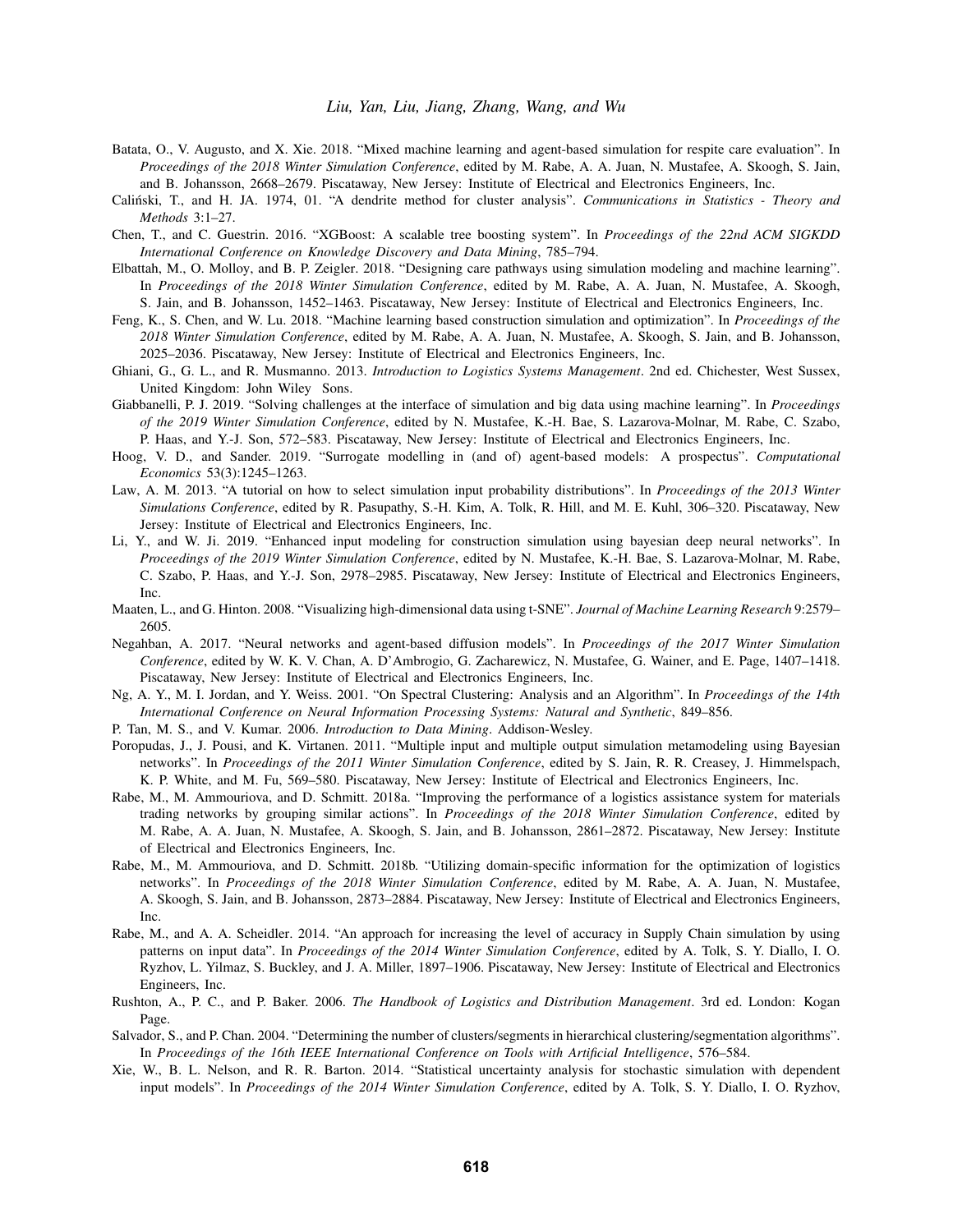- <span id="page-10-12"></span>Batata, O., V. Augusto, and X. Xie. 2018. "Mixed machine learning and agent-based simulation for respite care evaluation". In *Proceedings of the 2018 Winter Simulation Conference*, edited by M. Rabe, A. A. Juan, N. Mustafee, A. Skoogh, S. Jain, and B. Johansson, 2668–2679. Piscataway, New Jersey: Institute of Electrical and Electronics Engineers, Inc.
- <span id="page-10-19"></span>Calinski, T., and H. JA. 1974, 01. "A dendrite method for cluster analysis". ´ *Communications in Statistics - Theory and Methods* 3:1–27.
- <span id="page-10-15"></span>Chen, T., and C. Guestrin. 2016. "XGBoost: A scalable tree boosting system". In *Proceedings of the 22nd ACM SIGKDD International Conference on Knowledge Discovery and Data Mining*, 785–794.
- <span id="page-10-10"></span>Elbattah, M., O. Molloy, and B. P. Zeigler. 2018. "Designing care pathways using simulation modeling and machine learning". In *Proceedings of the 2018 Winter Simulation Conference*, edited by M. Rabe, A. A. Juan, N. Mustafee, A. Skoogh, S. Jain, and B. Johansson, 1452–1463. Piscataway, New Jersey: Institute of Electrical and Electronics Engineers, Inc.
- <span id="page-10-11"></span>Feng, K., S. Chen, and W. Lu. 2018. "Machine learning based construction simulation and optimization". In *Proceedings of the 2018 Winter Simulation Conference*, edited by M. Rabe, A. A. Juan, N. Mustafee, A. Skoogh, S. Jain, and B. Johansson, 2025–2036. Piscataway, New Jersey: Institute of Electrical and Electronics Engineers, Inc.
- <span id="page-10-0"></span>Ghiani, G., G. L., and R. Musmanno. 2013. *Introduction to Logistics Systems Management*. 2nd ed. Chichester, West Sussex, United Kingdom: John Wiley Sons.
- <span id="page-10-13"></span>Giabbanelli, P. J. 2019. "Solving challenges at the interface of simulation and big data using machine learning". In *Proceedings of the 2019 Winter Simulation Conference*, edited by N. Mustafee, K.-H. Bae, S. Lazarova-Molnar, M. Rabe, C. Szabo, P. Haas, and Y.-J. Son, 572–583. Piscataway, New Jersey: Institute of Electrical and Electronics Engineers, Inc.
- <span id="page-10-14"></span>Hoog, V. D., and Sander. 2019. "Surrogate modelling in (and of) agent-based models: A prospectus". *Computational Economics* 53(3):1245–1263.
- <span id="page-10-7"></span>Law, A. M. 2013. "A tutorial on how to select simulation input probability distributions". In *Proceedings of the 2013 Winter Simulations Conference*, edited by R. Pasupathy, S.-H. Kim, A. Tolk, R. Hill, and M. E. Kuhl, 306–320. Piscataway, New Jersey: Institute of Electrical and Electronics Engineers, Inc.
- <span id="page-10-8"></span>Li, Y., and W. Ji. 2019. "Enhanced input modeling for construction simulation using bayesian deep neural networks". In *Proceedings of the 2019 Winter Simulation Conference*, edited by N. Mustafee, K.-H. Bae, S. Lazarova-Molnar, M. Rabe, C. Szabo, P. Haas, and Y.-J. Son, 2978–2985. Piscataway, New Jersey: Institute of Electrical and Electronics Engineers, Inc.
- <span id="page-10-20"></span>Maaten, L., and G. Hinton. 2008. "Visualizing high-dimensional data using t-SNE". *Journal of Machine Learning Research* 9:2579– 2605.
- <span id="page-10-9"></span>Negahban, A. 2017. "Neural networks and agent-based diffusion models". In *Proceedings of the 2017 Winter Simulation Conference*, edited by W. K. V. Chan, A. D'Ambrogio, G. Zacharewicz, N. Mustafee, G. Wainer, and E. Page, 1407–1418. Piscataway, New Jersey: Institute of Electrical and Electronics Engineers, Inc.
- <span id="page-10-18"></span>Ng, A. Y., M. I. Jordan, and Y. Weiss. 2001. "On Spectral Clustering: Analysis and an Algorithm". In *Proceedings of the 14th International Conference on Neural Information Processing Systems: Natural and Synthetic*, 849–856.
- <span id="page-10-16"></span>P. Tan, M. S., and V. Kumar. 2006. *Introduction to Data Mining*. Addison-Wesley.
- <span id="page-10-4"></span>Poropudas, J., J. Pousi, and K. Virtanen. 2011. "Multiple input and multiple output simulation metamodeling using Bayesian networks". In *Proceedings of the 2011 Winter Simulation Conference*, edited by S. Jain, R. R. Creasey, J. Himmelspach, K. P. White, and M. Fu, 569–580. Piscataway, New Jersey: Institute of Electrical and Electronics Engineers, Inc.
- <span id="page-10-2"></span>Rabe, M., M. Ammouriova, and D. Schmitt. 2018a. "Improving the performance of a logistics assistance system for materials trading networks by grouping similar actions". In *Proceedings of the 2018 Winter Simulation Conference*, edited by M. Rabe, A. A. Juan, N. Mustafee, A. Skoogh, S. Jain, and B. Johansson, 2861–2872. Piscataway, New Jersey: Institute of Electrical and Electronics Engineers, Inc.
- <span id="page-10-1"></span>Rabe, M., M. Ammouriova, and D. Schmitt. 2018b. "Utilizing domain-specific information for the optimization of logistics networks". In *Proceedings of the 2018 Winter Simulation Conference*, edited by M. Rabe, A. A. Juan, N. Mustafee, A. Skoogh, S. Jain, and B. Johansson, 2873–2884. Piscataway, New Jersey: Institute of Electrical and Electronics Engineers, Inc.
- <span id="page-10-5"></span>Rabe, M., and A. A. Scheidler. 2014. "An approach for increasing the level of accuracy in Supply Chain simulation by using patterns on input data". In *Proceedings of the 2014 Winter Simulation Conference*, edited by A. Tolk, S. Y. Diallo, I. O. Ryzhov, L. Yilmaz, S. Buckley, and J. A. Miller, 1897–1906. Piscataway, New Jersey: Institute of Electrical and Electronics Engineers, Inc.
- <span id="page-10-3"></span>Rushton, A., P. C., and P. Baker. 2006. *The Handbook of Logistics and Distribution Management*. 3rd ed. London: Kogan Page.
- <span id="page-10-17"></span>Salvador, S., and P. Chan. 2004. "Determining the number of clusters/segments in hierarchical clustering/segmentation algorithms". In *Proceedings of the 16th IEEE International Conference on Tools with Artificial Intelligence*, 576–584.
- <span id="page-10-6"></span>Xie, W., B. L. Nelson, and R. R. Barton. 2014. "Statistical uncertainty analysis for stochastic simulation with dependent input models". In *Proceedings of the 2014 Winter Simulation Conference*, edited by A. Tolk, S. Y. Diallo, I. O. Ryzhov,